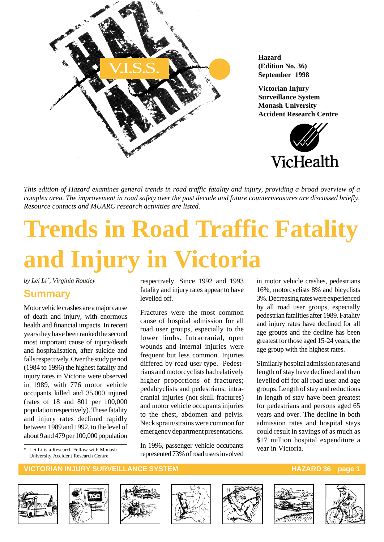

**Hazard (Edition No. 36) September 1998**

**Victorian Injury Surveillance System Monash University Accident Research Centre**



*This edition of Hazard examines general trends in road traffic fatality and injury, providing a broad overview of a complex area. The improvement in road safety over the past decade and future countermeasures are discussed briefly. Resource contacts and MUARC research activities are listed.*

# **Trends in Road Traffic Fatality and Injury in Victoria**

*by Lei Li \* , Virginia Routley*

#### **Summary**

Motor vehicle crashes are a major cause of death and injury, with enormous health and financial impacts. In recent years they have been ranked the second most important cause of injury/death and hospitalisation, after suicide and falls respectively. Over the study period (1984 to 1996) the highest fatality and injury rates in Victoria were observed in 1989, with 776 motor vehicle occupants killed and 35,000 injured (rates of 18 and 801 per 100,000 population respectively). These fatality and injury rates declined rapidly between 1989 and 1992, to the level of about 9 and 479 per 100,000 population

\* Lei Li is a Research Fellow with Monash University Accident Research Centre

respectively. Since 1992 and 1993 fatality and injury rates appear to have levelled off.

Fractures were the most common cause of hospital admission for all road user groups, especially to the lower limbs. Intracranial, open wounds and internal injuries were frequent but less common. Injuries differed by road user type. Pedestrians and motorcyclists had relatively higher proportions of fractures; pedalcyclists and pedestrians, intracranial injuries (not skull fractures) and motor vehicle occupants injuries to the chest, abdomen and pelvis. Neck sprain/strains were common for emergency department presentations.

In 1996, passenger vehicle occupants represented 73% of road users involved in motor vehicle crashes, pedestrians 16%, motorcyclists 8% and bicyclists 3%. Decreasing rates were experienced by all road user groups, especially pedestrian fatalities after 1989. Fatality and injury rates have declined for all age groups and the decline has been greatest for those aged 15-24 years, the age group with the highest rates.

Similarly hospital admission rates and length of stay have declined and then levelled off for all road user and age groups. Length of stay and reductions in length of stay have been greatest for pedestrians and persons aged 65 years and over. The decline in both admission rates and hospital stays could result in savings of as much as \$17 million hospital expenditure a year in Victoria.













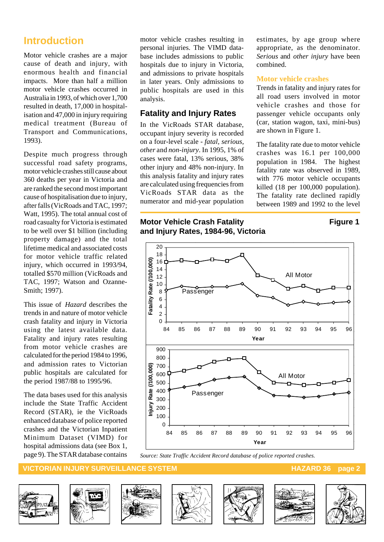## **Introduction**

Motor vehicle crashes are a major cause of death and injury, with enormous health and financial impacts. More than half a million motor vehicle crashes occurred in Australia in 1993, of which over 1,700 resulted in death, 17,000 in hospitalisation and 47,000 in injury requiring medical treatment (Bureau of Transport and Communications, 1993).

Despite much progress through successful road safety programs, motor vehicle crashes still cause about 360 deaths per year in Victoria and are ranked the second most important cause of hospitalisation due to injury, after falls (VicRoads and TAC, 1997; Watt, 1995). The total annual cost of road casualty for Victoria is estimated to be well over \$1 billion (including property damage) and the total lifetime medical and associated costs for motor vehicle traffic related injury, which occurred in 1993/94, totalled \$570 million (VicRoads and TAC, 1997; Watson and Ozanne-Smith; 1997).

This issue of *Hazard* describes the trends in and nature of motor vehicle crash fatality and injury in Victoria using the latest available data. Fatality and injury rates resulting from motor vehicle crashes are calculated for the period 1984 to 1996, and admission rates to Victorian public hospitals are calculated for the period 1987/88 to 1995/96.

The data bases used for this analysis include the State Traffic Accident Record (STAR), ie the VicRoads enhanced database of police reported crashes and the Victorian Inpatient Minimum Dataset (VIMD) for hospital admissions data (see Box 1, page 9). The STAR database contains motor vehicle crashes resulting in personal injuries. The VIMD database includes admissions to public hospitals due to injury in Victoria, and admissions to private hospitals in later years. Only admissions to public hospitals are used in this analysis.

#### **Fatality and Injury Rates**

In the VicRoads STAR database, occupant injury severity is recorded on a four-level scale - *fatal, serious, other* and *non-injury*. In 1995, 1% of cases were fatal, 13% serious, 38% other injury and 48% non-injury. In this analysis fatality and injury rates are calculated using frequencies from VicRoads STAR data as the numerator and mid-year population estimates, by age group where appropriate, as the denominator. *Serious* and *other injury* have been combined.

#### **Motor vehicle crashes**

Trends in fatality and injury rates for all road users involved in motor vehicle crashes and those for passenger vehicle occupants only (car, station wagon, taxi, mini-bus) are shown in Figure 1.

The fatality rate due to motor vehicle crashes was 16.1 per 100,000 population in 1984. The highest fatality rate was observed in 1989, with 776 motor vehicle occupants killed (18 per 100,000 population). The fatality rate declined rapidly between 1989 and 1992 to the level

#### **Motor Vehicle Crash Fatality <b>Figure 1** Figure 1 **and Injury Rates, 1984-96, Victoria**

# All Motor



*Source: State Traffic Accident Record database of police reported crashes.*













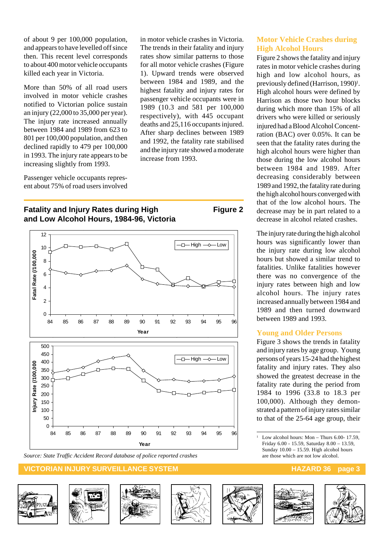of about 9 per 100,000 population, and appears to have levelled off since then. This recent level corresponds to about 400 motor vehicle occupants killed each year in Victoria.

More than 50% of all road users involved in motor vehicle crashes notified to Victorian police sustain an injury (22,000 to 35,000 per year). The injury rate increased annually between 1984 and 1989 from 623 to 801 per 100,000 population, and then declined rapidly to 479 per 100,000 in 1993. The injury rate appears to be increasing slightly from 1993.

Passenger vehicle occupants represent about 75% of road users involved in motor vehicle crashes in Victoria. The trends in their fatality and injury rates show similar patterns to those for all motor vehicle crashes (Figure 1). Upward trends were observed between 1984 and 1989, and the highest fatality and injury rates for passenger vehicle occupants were in 1989 (10.3 and 581 per 100,000 respectively), with 445 occupant deaths and 25,116 occupants injured. After sharp declines between 1989 and 1992, the fatality rate stabilised and the injury rate showed a moderate increase from 1993.

#### **Fatality and Injury Rates during High Figure 2 and Low Alcohol Hours, 1984-96, Victoria**



#### **VICTORIAN INJURY SURVEILLANCE SYSTEM HAZARD 36 page 3**















#### **Motor Vehicle Crashes during High Alcohol Hours**

Figure 2 shows the fatality and injury rates in motor vehicle crashes during high and low alcohol hours, as previously defined (Harrison, 1990)<sup>1</sup>. High alcohol hours were defined by Harrison as those two hour blocks during which more than 15% of all drivers who were killed or seriously injured had a Blood Alcohol Concentration (BAC) over 0.05%. It can be seen that the fatality rates during the high alcohol hours were higher than those during the low alcohol hours between 1984 and 1989. After decreasing considerably between 1989 and 1992, the fatality rate during the high alcohol hours converged with that of the low alcohol hours. The decrease may be in part related to a decrease in alcohol related crashes.

The injury rate during the high alcohol hours was significantly lower than the injury rate during low alcohol hours but showed a similar trend to fatalities. Unlike fatalities however there was no convergence of the injury rates between high and low alcohol hours. The injury rates increased annually between 1984 and 1989 and then turned downward between 1989 and 1993.

#### **Young and Older Persons**

Figure 3 shows the trends in fatality and injury rates by age group. Young persons of years 15-24 had the highest fatality and injury rates. They also showed the greatest decrease in the fatality rate during the period from 1984 to 1996 (33.8 to 18.3 per 100,000). Although they demonstrated a pattern of injury rates similar to that of the 25-64 age group, their

Low alcohol hours:  $Mon - Thus 6.00-17.59$ , Friday 6.00 - 15.59, Saturday 8.00 – 13.59, Sunday 10.00 – 15.59. High alcohol hours are those which are not low alcohol.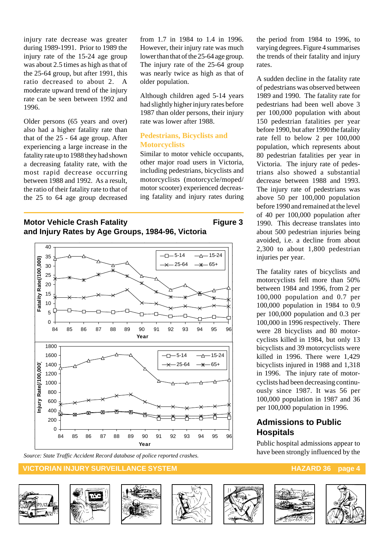injury rate decrease was greater during 1989-1991. Prior to 1989 the injury rate of the 15-24 age group was about 2.5 times as high as that of the 25-64 group, but after 1991, this ratio decreased to about 2. A moderate upward trend of the injury rate can be seen between 1992 and 1996.

Older persons (65 years and over) also had a higher fatality rate than that of the 25 - 64 age group. After experiencing a large increase in the fatality rate up to 1988 they had shown a decreasing fatality rate, with the most rapid decrease occurring between 1988 and 1992. As a result, the ratio of their fatality rate to that of the 25 to 64 age group decreased from 1.7 in 1984 to 1.4 in 1996. However, their injury rate was much lower than that of the 25-64 age group. The injury rate of the 25-64 group was nearly twice as high as that of older population.

Although children aged 5-14 years had slightly higher injury rates before 1987 than older persons, their injury rate was lower after 1988.

#### **Pedestrians, Bicyclists and Motorcyclists**

Similar to motor vehicle occupants, other major road users in Victoria, including pedestrians, bicyclists and motorcyclists (motorcycle/moped/ motor scooter) experienced decreasing fatality and injury rates during

**Motor Vehicle Crash Fatality Figure 3 and Injury Rates by Age Groups, 1984-96, Victoria**



*Source: State Traffic Accident Record database of police reported crashes.*

#### **VICTORIAN INJURY SURVEILLANCE SYSTEM AND RESERVE THE RESERVE HAZARD 36 page 4**















the period from 1984 to 1996, to varying degrees. Figure 4 summarises the trends of their fatality and injury rates.

A sudden decline in the fatality rate of pedestrians was observed between 1989 and 1990. The fatality rate for pedestrians had been well above 3 per 100,000 population with about 150 pedestrian fatalities per year before 1990, but after 1990 the fatality rate fell to below 2 per 100,000 population, which represents about 80 pedestrian fatalities per year in Victoria. The injury rate of pedestrians also showed a substantial decrease between 1988 and 1993. The injury rate of pedestrians was above 50 per 100,000 population before 1990 and remained at the level of 40 per 100,000 population after 1990. This decrease translates into about 500 pedestrian injuries being avoided, i.e. a decline from about 2,300 to about 1,800 pedestrian injuries per year.

The fatality rates of bicyclists and motorcyclists fell more than 50% between 1984 and 1996, from 2 per 100,000 population and 0.7 per 100,000 population in 1984 to 0.9 per 100,000 population and 0.3 per 100,000 in 1996 respectively. There were 28 bicyclists and 80 motorcyclists killed in 1984, but only 13 bicyclists and 39 motorcyclists were killed in 1996. There were 1,429 bicyclists injured in 1988 and 1,318 in 1996. The injury rate of motorcyclists had been decreasing continuously since 1987. It was 56 per 100,000 population in 1987 and 36 per 100,000 population in 1996.

#### **Admissions to Public Hospitals**

Public hospital admissions appear to have been strongly influenced by the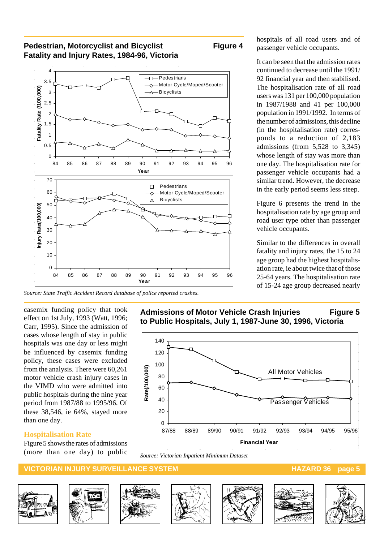#### **Pedestrian, Motorcyclist and Bicyclist Figure 4 Fatality and Injury Rates, 1984-96, Victoria**





*Source: State Traffic Accident Record database of police reported crashes.*

casemix funding policy that took effect on 1st July, 1993 (Watt, 1996; Carr, 1995). Since the admission of cases whose length of stay in public hospitals was one day or less might be influenced by casemix funding policy, these cases were excluded from the analysis. There were 60,261 motor vehicle crash injury cases in the VIMD who were admitted into public hospitals during the nine year period from 1987/88 to 1995/96. Of these 38,546, ie 64%, stayed more than one day.

#### **Hospitalisation Rate**

0.5 1 1.5 2 2.5 3 3.5 4

**Fatality Rate(/1,000,000)**

**Fatality Rate (/100,000)**

Fatality Rate (/100,000)

Figure 5 shows the rates of admissions (more than one day) to public

## passenger vehicle occupants.

hospitals of all road users and of

It can be seen that the admission rates continued to decrease until the 1991/ 92 financial year and then stabilised. The hospitalisation rate of all road users was 131 per 100,000 population in 1987/1988 and 41 per 100,000 population in 1991/1992. In terms of the number of admissions, this decline (in the hospitalisation rate) corresponds to a reduction of 2,183 admissions (from 5,528 to 3,345) whose length of stay was more than one day. The hospitalisation rate for passenger vehicle occupants had a similar trend. However, the decrease in the early period seems less steep.

Figure 6 presents the trend in the hospitalisation rate by age group and road user type other than passenger vehicle occupants.

Similar to the differences in overall fatality and injury rates, the 15 to 24 age group had the highest hospitalisation rate, ie about twice that of those 25-64 years. The hospitalisation rate of 15-24 age group decreased nearly

Admissions of Motor Vehicle Crash Injuries Figure 5 **to Public Hospitals, July 1, 1987-June 30, 1996, Victoria**



*Source: Victorian Inpatient Minimum Dataset*

#### **VICTORIAN INJURY SURVEILLANCE SYSTEM AND RELATION CONTROLLY AND RELATIONS AND RELATIONS AND RELATIONS AND RELA**













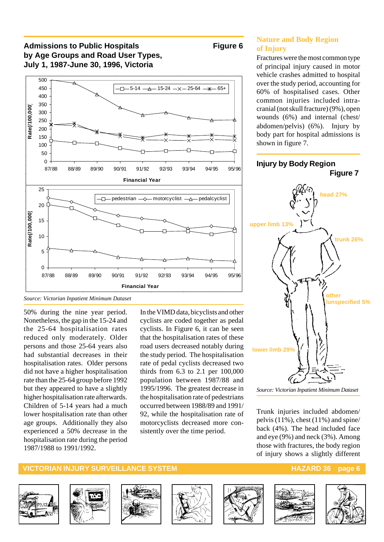#### Admissions to Public Hospitals **Figure 6 by Age Groups and Road User Types, July 1, 1987-June 30, 1996, Victoria**



*Source: Victorian Inpatient Minimum Dataset*

50% during the nine year period. Nonetheless, the gap in the 15-24 and the 25-64 hospitalisation rates reduced only moderately. Older persons and those 25-64 years also had substantial decreases in their hospitalisation rates. Older persons did not have a higher hospitalisation rate than the 25-64 group before 1992 but they appeared to have a slightly higher hospitalisation rate afterwards. Children of 5-14 years had a much lower hospitalisation rate than other age groups. Additionally they also experienced a 50% decrease in the hospitalisation rate during the period 1987/1988 to 1991/1992.

In the VIMD data, bicyclists and other cyclists are coded together as pedal cyclists. In Figure 6, it can be seen that the hospitalisation rates of these road users decreased notably during the study period. The hospitalisation rate of pedal cyclists decreased two thirds from 6.3 to 2.1 per 100,000 population between 1987/88 and 1995/1996. The greatest decrease in the hospitalisation rate of pedestrians occurred between 1988/89 and 1991/ 92, while the hospitalisation rate of motorcyclists decreased more consistently over the time period.

#### **Nature and Body Region of Injury**

Fractures were the most common type of principal injury caused in motor vehicle crashes admitted to hospital over the study period, accounting for 60% of hospitalised cases. Other common injuries included intracranial (not skull fracture) (9%), open wounds (6%) and internal (chest/ abdomen/pelvis) (6%). Injury by body part for hospital admissions is shown in figure 7.



*Source: Victorian Inpatient Minimum Dataset*

Trunk injuries included abdomen/ pelvis (11%), chest (11%) and spine/ back (4%). The head included face and eye (9%) and neck (3%). Among those with fractures, the body region of injury shows a slightly different

#### **VICTORIAN INJURY SURVEILLANCE SYSTEM AND RESOLUTION CONTROLLY AND RESOLUTION CONTROLLY AND RESOLUTION CONTROLLY**













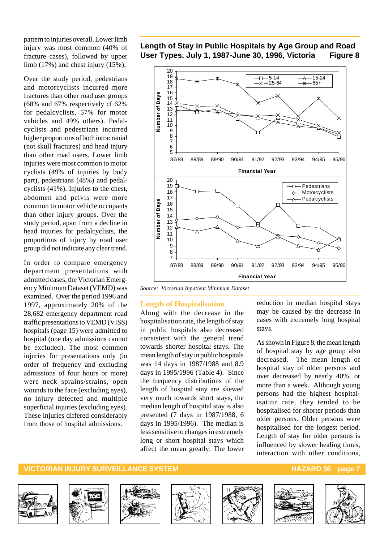pattern to injuries overall. Lower limb injury was most common (40% of fracture cases), followed by upper limb (17%) and chest injury (15%).

Over the study period, pedestrians and motorcyclists incurred more fractures than other road user groups (68% and 67% respectively cf 62% for pedalcyclists, 57% for motor vehicles and 49% others). Pedalcyclists and pedestrians incurred higher proportions of both intracranial (not skull fractures) and head injury than other road users. Lower limb injuries were most common to motor cyclists (49% of injuries by body part), pedestrians (48%) and pedalcyclists (41%). Injuries to the chest, abdomen and pelvis were more common to motor vehicle occupants than other injury groups. Over the study period, apart from a decline in head injuries for pedalcyclists, the proportions of injury by road user group did not indicate any clear trend.

In order to compare emergency department presentations with admitted cases, the Victorian Emergency Minimum Dataset (VEMD) was examined. Over the period 1996 and 1997, approximately 20% of the 28,682 emergency department road traffic presentations to VEMD (VISS) hospitals (page 15) were admitted to hospital (one day admissions cannot be excluded). The most common injuries for presentations only (in order of frequency and excluding admissions of four hours or more) were neck sprains/strains, open wounds to the face (excluding eyes), no injury detected and multiple superficial injuries (excluding eyes). These injuries differed considerably from those of hospital admissions.

#### **Length of Stay in Public Hospitals by Age Group and Road User Types, July 1, 1987-June 30, 1996, Victoria Figure 8**



*Source: Victorian Inpatient Minimum Dataset*

#### **Length of Hospitalisation**

Along with the decrease in the hospitalisation rate, the length of stay in public hospitals also decreased consistent with the general trend towards shorter hospital stays. The mean length of stay in public hospitals was 14 days in 1987/1988 and 8.9 days in 1995/1996 (Table 4). Since the frequency distributions of the length of hospital stay are skewed very much towards short stays, the median length of hospital stay is also presented (7 days in 1987/1988, 6 days in 1995/1996). The median is less sensitive to changes in extremely long or short hospital stays which affect the mean greatly. The lower reduction in median hospital stays may be caused by the decrease in cases with extremely long hospital stays.

As shown in Figure 8, the mean length of hospital stay by age group also decreased. The mean length of hospital stay of older persons and over decreased by nearly 40%, or more than a week. Although young persons had the highest hospitalisation rate, they tended to be hospitalised for shorter periods than older persons. Older persons were hospitalised for the longest period. Length of stay for older persons is influenced by slower healing times, interaction with other conditions,













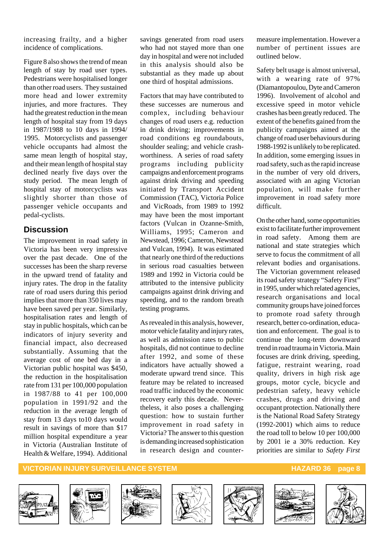increasing frailty, and a higher incidence of complications.

Figure 8 also shows the trend of mean length of stay by road user types. Pedestrians were hospitalised longer than other road users. They sustained more head and lower extremity injuries, and more fractures. They had the greatest reduction in the mean length of hospital stay from 19 days in 1987/1988 to 10 days in 1994/ 1995. Motorcyclists and passenger vehicle occupants had almost the same mean length of hospital stay, and their mean length of hospital stay declined nearly five days over the study period. The mean length of hospital stay of motorcyclists was slightly shorter than those of passenger vehicle occupants and pedal-cyclists.

#### **Discussion**

The improvement in road safety in Victoria has been very impressive over the past decade. One of the successes has been the sharp reverse in the upward trend of fatality and injury rates. The drop in the fatality rate of road users during this period implies that more than 350 lives may have been saved per year. Similarly, hospitalisation rates and length of stay in public hospitals, which can be indicators of injury severity and financial impact, also decreased substantially. Assuming that the average cost of one bed day in a Victorian public hospital was \$450, the reduction in the hospitalisation rate from 131 per 100,000 population in 1987/88 to 41 per 100,000 population in 1991/92 and the reduction in the average length of stay from 13 days to10 days would result in savings of more than \$17 million hospital expenditure a year in Victoria (Australian Institute of Health & Welfare, 1994). Additional

savings generated from road users who had not stayed more than one day in hospital and were not included in this analysis should also be substantial as they made up about one third of hospital admissions.

Factors that may have contributed to these successes are numerous and complex, including behaviour changes of road users e.g. reduction in drink driving; improvements in road conditions eg roundabouts, shoulder sealing; and vehicle crashworthiness. A series of road safety programs including publicity campaigns and enforcement programs against drink driving and speeding initiated by Transport Accident Commission (TAC), Victoria Police and VicRoads, from 1989 to 1992 may have been the most important factors (Vulcan in Ozanne-Smith, Williams, 1995; Cameron and Newstead, 1996; Cameron, Newstead and Vulcan, 1994). It was estimated that nearly one third of the reductions in serious road casualties between 1989 and 1992 in Victoria could be attributed to the intensive publicity campaigns against drink driving and speeding, and to the random breath testing programs.

As revealed in this analysis, however, motor vehicle fatality and injury rates, as well as admission rates to public hospitals, did not continue to decline after 1992, and some of these indicators have actually showed a moderate upward trend since. This feature may be related to increased road traffic induced by the economic recovery early this decade. Nevertheless, it also poses a challenging question: how to sustain further improvement in road safety in Victoria? The answer to this question is demanding increased sophistication in research design and countermeasure implementation. However a number of pertinent issues are outlined below.

Safety belt usage is almost universal, with a wearing rate of 97% (Diamantopoulou, Dyte and Cameron 1996). Involvement of alcohol and excessive speed in motor vehicle crashes has been greatly reduced. The extent of the benefits gained from the publicity campaigns aimed at the change of road user behaviours during 1988-1992 is unlikely to be replicated. In addition, some emerging issues in road safety, such as the rapid increase in the number of very old drivers, associated with an aging Victorian population, will make further improvement in road safety more difficult.

On the other hand, some opportunities exist to facilitate further improvement in road safety. Among them are national and state strategies which serve to focus the commitment of all relevant bodies and organisations. The Victorian government released its road safety strategy "Safety First" in 1995, under which related agencies, research organisations and local community groups have joined forces to promote road safety through research, better co-ordination, education and enforcement. The goal is to continue the long-term downward trend in road trauma in Victoria. Main focuses are drink driving, speeding, fatigue, restraint wearing, road quality, drivers in high risk age groups, motor cycle, bicycle and pedestrian safety, heavy vehicle crashes, drugs and driving and occupant protection. Nationally there is the National Road Safety Strategy (1992-2001) which aims to reduce the road toll to below 10 per 100,000 by 2001 ie a 30% reduction. Key priorities are similar to *Safety First*

#### **VICTORIAN INJURY SURVEILLANCE SYSTEM AND RESERVE THE RESERVED BY A SUBSET OF A SUBSET OF A SUBSET OF A SUBSET OF A SUBSET OF A SUBSET OF A SUBSET OF A SUBSET OF A SUBSET OF A SUBSET OF A SUBSET OF A SUBSET OF A SUBSET OF**













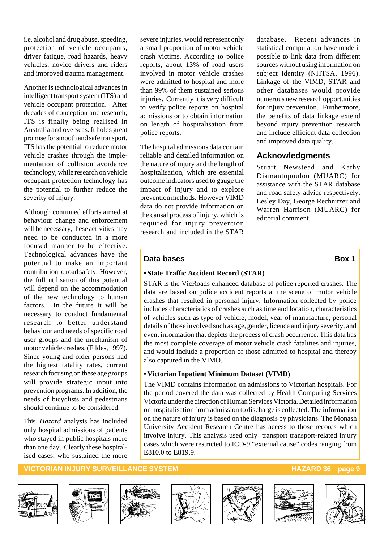i.e. alcohol and drug abuse, speeding, protection of vehicle occupants, driver fatigue, road hazards, heavy vehicles, novice drivers and riders and improved trauma management.

Another is technological advances in intelligent transport system (ITS) and vehicle occupant protection. After decades of conception and research, ITS is finally being realised in Australia and overseas. It holds great promise for smooth and safe transport. ITS has the potential to reduce motor vehicle crashes through the implementation of collision avoidance technology, while research on vehicle occupant protection technology has the potential to further reduce the severity of injury.

Although continued efforts aimed at behaviour change and enforcement will be necessary, these activities may need to be conducted in a more focused manner to be effective. Technological advances have the potential to make an important contribution to road safety. However, the full utilisation of this potential will depend on the accommodation of the new technology to human factors. In the future it will be necessary to conduct fundamental research to better understand behaviour and needs of specific road user groups and the mechanism of motor vehicle crashes. (Fildes, 1997). Since young and older persons had the highest fatality rates, current research focusing on these age groups will provide strategic input into prevention programs. In addition, the needs of bicyclists and pedestrians should continue to be considered.

This *Hazard* analysis has included only hospital admissions of patients who stayed in public hospitals more than one day. Clearly these hospitalised cases, who sustained the more

severe injuries, would represent only a small proportion of motor vehicle crash victims. According to police reports, about 13% of road users involved in motor vehicle crashes were admitted to hospital and more than 99% of them sustained serious injuries. Currently it is very difficult to verify police reports on hospital admissions or to obtain information on length of hospitalisation from police reports.

The hospital admissions data contain reliable and detailed information on the nature of injury and the length of hospitalisation, which are essential outcome indicators used to gauge the impact of injury and to explore prevention methods. However VIMD data do not provide information on the causal process of injury, which is required for injury prevention research and included in the STAR

database. Recent advances in statistical computation have made it possible to link data from different sources without using information on subject identity (NHTSA, 1996). Linkage of the VIMD, STAR and other databases would provide numerous new research opportunities for injury prevention. Furthermore, the benefits of data linkage extend beyond injury prevention research and include efficient data collection and improved data quality.

#### **Acknowledgments**

Stuart Newstead and Kathy Diamantopoulou (MUARC) for assistance with the STAR database and road safety advice respectively, Lesley Day, George Rechnitzer and Warren Harrison (MUARC) for editorial comment.

#### **Data bases** Box 1

#### **• State Traffic Accident Record (STAR)**

STAR is the VicRoads enhanced database of police reported crashes. The data are based on police accident reports at the scene of motor vehicle crashes that resulted in personal injury. Information collected by police includes characteristics of crashes such as time and location, characteristics of vehicles such as type of vehicle, model, year of manufacture, personal details of those involved such as age, gender, licence and injury severity, and event information that depicts the process of crash occurrence. This data has the most complete coverage of motor vehicle crash fatalities and injuries, and would include a proportion of those admitted to hospital and thereby also captured in the VIMD.

#### **• Victorian Inpatient Minimum Dataset (VIMD)**

The VIMD contains information on admissions to Victorian hospitals. For the period covered the data was collected by Health Computing Services Victoria under the direction of Human Services Victoria. Detailed information on hospitalisation from admission to discharge is collected. The information on the nature of injury is based on the diagnosis by physicians. The Monash University Accident Research Centre has access to those records which involve injury. This analysis used only transport transport-related injury cases which were restricted to ICD-9 "external cause" codes ranging from E810.0 to E819.9.

#### **VICTORIAN INJURY SURVEILLANCE SYSTEM AND RESERVE THE RESERVE HAZARD 36 page 9**













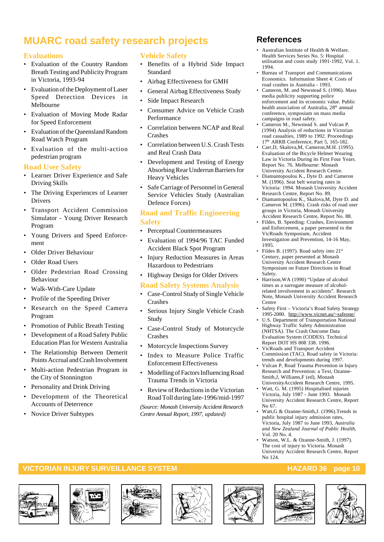## **MUARC road safety research projects**

#### **Evaluations**

- Evaluation of the Country Random Breath Testing and Publicity Program in Victoria, 1993-94
- Evaluation of the Deployment of Laser Speed Detection Devices in Melbourne
- Evaluation of Moving Mode Radar for Speed Enforcement
- Evaluation of the Queensland Random Road Watch Program
- Evaluation of the multi-action pedestrian program

#### **Road User Safety**

- Learner Driver Experience and Safe Driving Skills
- The Driving Experiences of Learner Drivers
- Transport Accident Commission Simulator - Young Driver Research Program
- Young Drivers and Speed Enforcement
- Older Driver Behaviour
- Older Road Users
- Older Pedestrian Road Crossing Behaviour
- Walk-With-Care Update
- Profile of the Speeding Driver
- Research on the Speed Camera Program
- Promotion of Public Breath Testing
- Development of a Road Safety Public Education Plan for Western Australia
- The Relationship Between Demerit Points Accrual and Crash Involvement
- Multi-action Pedestrian Program in the City of Stonnington
- Personality and Drink Driving
- Development of the Theoretical Accounts of Deterrence
- Novice Driver Subtypes

#### **Vehicle Safety**

- Benefits of a Hybrid Side Impact Standard
- Airbag Effectiveness for GMH
- General Airbag Effectiveness Study
- Side Impact Research
- Consumer Advice on Vehicle Crash Performance
- Correlation between NCAP and Real Crashes
- Correlation between U.S. Crash Tests and Real Crash Data
- Development and Testing of Energy Absorbing Rear Underrun Barriers for Heavy Vehicles
- Safe Carriage of Personnel in General Service Vehicles Study (Australian Defence Forces)

#### **Road and Traffic Engineering Safety**

- Perceptual Countermeasures
- Evaluation of 1994/96 TAC Funded Accident Black Spot Program
- Injury Reduction Measures in Areas Hazardous to Pedestrians
- Highway Design for Older Drivers

#### **Road Safety Systems Analysis**

- Case-Control Study of Single Vehicle Crashes
- Serious Injury Single Vehicle Crash Study
- Case-Control Study of Motorcycle Crashes
- Motorcycle Inspections Survey
- Index to Measure Police Traffic Enforcement Effectiveness
- Modelling of Factors Influencing Road Trauma Trends in Victoria
- Review of Reductions in the Victorian Road Toll during late-1996/mid-1997

*(Source: Monash University Accident Research Centre Annual Report, 1997, updated)*

### **References**

- Australian Institute of Health & Welfare. Health Services Series No. 5: Hospital utilisation and costs study 1991-1992, Vol. 1. 1994.
- Bureau of Transport and Communications Economics. Information Sheet 4: Costs of road crashes in Australia - 1993.
- Cameron, M. and Newstead S. (1996). Mass media publicity supporting police enforcement and its economic value. Public health association of Australia, 28<sup>th</sup> annual conference, symposium on mass media campaigns in road safety.
- Cameron M., Newstead S. and Vulcan P. (1994) Analysis of reductions in Victorian road casualties, 1989 to 1992. Proceedings 17<sup>th</sup> ARRB Conference, Part 5, 165-182.
- Carr,D, Skalova,M, Cameron,M.H. (1995). Evaluation of the Bicycle Helmet Wearing Law in Victoria During its First Four Years. Report No. 76. Melbourne: Monash University Accident Research Centre.
- Diamantopoulou K., Dyte D. and Cameron M. (1996). Seat belt wearing rates in Victoria: 1994. Monash University Accident Research Centre, Report No. 89.
- Diamantopoulou K., Skalova,M, Dyte D. and Cameron M. (1996). Crash risks of road user groups in Victoria, Monash University Accident Research Centre, Report No. 88.
- Fildes, B. Speeding: Crashes, Environment and Enforcement, a paper presented to the VicRoads Symposium, Accident Investigation and Prevention, 14-16 May, 1995.
- Fildes B. (1997). Road safety into  $21<sup>st</sup>$ Century, paper presented at Monash University Accident Research Centre Symposium on Future Directions in Road Safety.
- Harrison,WA (1990) "Update of alcohol times as a surrogate measure of alcoholrelated involvement in accidents". Research Note, Monash University Accident Research Centre
- Safety First Victoria's Road Safety Strategy 1995-2000. http://www.vicnet.au/~safeone/
- U.S. Department of Transportation National Highway Traffic Safety Administration (NHTSA). The Crash Outcome Data Evaluation System (CODES). Technical Report DOT HS 808 338. 1996.
- VicRoads and Transport Accident Commission (TAC). Road safety in Victoria: trends and developments during 1997.
- Vulcan P, Road Trauma Prevention in Injury Research and Prevention: a Text, Ozanne-Smith,J, Williams,F (ed), Monash UniversityAccident Research Centre, 1995.
- Watt, G. M. (1995) Hospitalised injuries Victoria, July 1987 - June 1993. Monash University Accident Research Centre, Report No 67.
- Watt,G & Ozanne-Smith,J. (1996).Trends in public hospital injury admission rates, Victoria, July 1987 to June 1993*, Australia and New Zealand Journal of Public Health*, Vol. 20 No. 4.
- Watson, W.L. & Ozanne-Smith, J. (1997). The cost of injury to Victoria. Monash University Accident Research Centre, Report No 124.

#### **VICTORIAN INJURY SURVEILLANCE SYSTEM HAZARD 36 page 10**













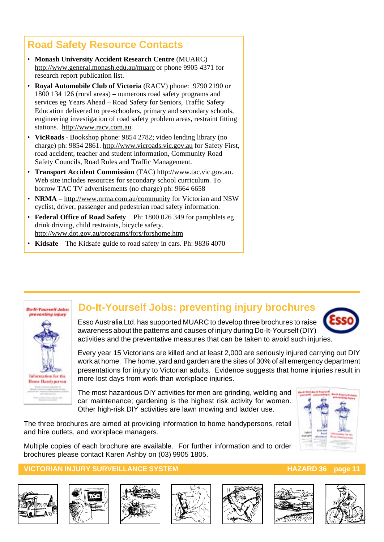## **Road Safety Resource Contacts**

- **Monash University Accident Research Centre** (MUARC) http://www.general.monash.edu.au/muarc or phone 9905 4371 for research report publication list.
- **Royal Automobile Club of Victoria** (RACV) phone: 9790 2190 or 1800 134 126 (rural areas) – numerous road safety programs and services eg Years Ahead – Road Safety for Seniors, Traffic Safety Education delivered to pre-schoolers, primary and secondary schools, engineering investigation of road safety problem areas, restraint fitting stations. http://www.racv.com.au.
- **VicRoads**  Bookshop phone: 9854 2782; video lending library (no charge) ph: 9854 2861. http://www.vicroads.vic.gov.au for Safety First, road accident, teacher and student information, Community Road Safety Councils, Road Rules and Traffic Management.
- **Transport Accident Commission** (TAC) http://www.tac.vic.gov.au. Web site includes resources for secondary school curriculum. To borrow TAC TV advertisements (no charge) ph: 9664 6658
- **NRMA**  http://www.nrma.com.au/community for Victorian and NSW cyclist, driver, passenger and pedestrian road safety information.
- **Federal Office of Road Safety** Ph: 1800 026 349 for pamphlets eg drink driving, child restraints, bicycle safety. http://www.dot.gov.au/programs/fors/forshome.htm
- **Kidsafe** The Kidsafe guide to road safety in cars. Ph: 9836 4070



## **Do-It-Yourself Jobs: preventing injury brochures**

Esso Australia Ltd. has supported MUARC to develop three brochures to raise awareness about the patterns and causes of injury during Do-It-Yourself (DIY) activities and the preventative measures that can be taken to avoid such injuries.

Every year 15 Victorians are killed and at least 2,000 are seriously injured carrying out DIY work at home. The home, yard and garden are the sites of 30% of all emergency department presentations for injury to Victorian adults. Evidence suggests that home injuries result in more lost days from work than workplace injuries.

The most hazardous DIY activities for men are grinding, welding and car maintenance; gardening is the highest risk activity for women. Other high-risk DIY activities are lawn mowing and ladder use.

The three brochures are aimed at providing information to home handypersons, retail and hire outlets, and workplace managers.

Multiple copies of each brochure are available. For further information and to order brochures please contact Karen Ashby on (03) 9905 1805.

#### **VICTORIAN INJURY SURVEILLANCE SYSTEM AND REALLY CONTROLLER THE HAZARD 36 page 11**













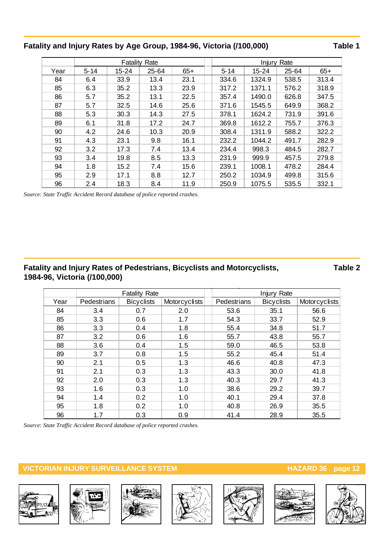#### **Fatality and Injury Rates by Age Group, 1984-96, Victoria (/100,000) Table 1**

|      |          | Fatality  | Rate      |       | Rate<br>Injury |           |       |       |
|------|----------|-----------|-----------|-------|----------------|-----------|-------|-------|
| Year | $5 - 14$ | $15 - 24$ | $25 - 64$ | $65+$ | $5 - 14$       | $15 - 24$ | 25-64 | $65+$ |
| 84   | 6.4      | 33.9      | 13.4      | 23.1  | 334.6          | 1324.9    | 538.5 | 313.4 |
| 85   | 6.3      | 35.2      | 13.3      | 23.9  | 317.2          | 1371.1    | 576.2 | 318.9 |
| 86   | 5.7      | 35.2      | 13.1      | 22.5  | 357.4          | 1490.0    | 626.8 | 347.5 |
| 87   | 5.7      | 32.5      | 14.6      | 25.6  | 371.6          | 1545.5    | 649.9 | 368.2 |
| 88   | 5.3      | 30.3      | 14.3      | 27.5  | 378.1          | 1624.2    | 731.9 | 391.6 |
| 89   | 6.1      | 31.8      | 17.2      | 24.7  | 369.8          | 1612.2    | 755.7 | 376.3 |
| 90   | 4.2      | 24.6      | 10.3      | 20.9  | 308.4          | 1311.9    | 588.2 | 322.2 |
| 91   | 4.3      | 23.1      | 9.8       | 16.1  | 232.2          | 1044.2    | 491.7 | 282.9 |
| 92   | 3.2      | 17.3      | 7.4       | 13.4  | 234.4          | 998.3     | 484.5 | 282.7 |
| 93   | 3.4      | 19.8      | 8.5       | 13.3  | 231.9          | 999.9     | 457.5 | 279.8 |
| 94   | 1.8      | 15.2      | 7.4       | 15.6  | 239.1          | 1008.1    | 478.2 | 284.4 |
| 95   | 2.9      | 17.1      | 8.8       | 12.7  | 250.2          | 1034.9    | 499.8 | 315.6 |
| 96   | 2.4      | 18.3      | 8.4       | 11.9  | 250.9          | 1075.5    | 535.5 | 332.1 |

*Source: State Traffic Accident Record database of police reported crashes.*

#### **Fatality and Injury Rates of Pedestrians, Bicyclists and Motorcyclists, Table 2 1984-96, Victoria (/100,000)**

|      |             | <b>Fatality Rate</b> |               |             | Injury Rate       |               |
|------|-------------|----------------------|---------------|-------------|-------------------|---------------|
| Year | Pedestrians | <b>Bicyclists</b>    | Motorcyclists | Pedestrians | <b>Bicyclists</b> | Motorcyclists |
| 84   | 3.4         | 0.7                  | 2.0           | 53.6        | 35.1              | 56.6          |
| 85   | 3.3         | 0.6                  | 1.7           | 54.3        | 33.7              | 52.9          |
| 86   | 3.3         | 0.4                  | 1.8           | 55.4        | 34.8              | 51.7          |
| 87   | 3.2         | 0.6                  | 1.6           | 55.7        | 43.8              | 55.7          |
| 88   | 3.6         | 0.4                  | 1.5           | 59.0        | 46.5              | 53.8          |
| 89   | 3.7         | 0.8                  | 1.5           | 55.2        | 45.4              | 51.4          |
| 90   | 2.1         | 0.5                  | 1.3           | 46.6        | 40.8              | 47.3          |
| 91   | 2.1         | 0.3                  | 1.3           | 43.3        | 30.0              | 41.8          |
| 92   | 2.0         | 0.3                  | 1.3           | 40.3        | 29.7              | 41.3          |
| 93   | 1.6         | 0.3                  | 1.0           | 38.6        | 29.2              | 39.7          |
| 94   | 1.4         | 0.2                  | 1.0           | 40.1        | 29.4              | 37.8          |
| 95   | 1.8         | 0.2                  | 1.0           | 40.8        | 26.9              | 35.5          |
| 96   | 1.7         | 0.3                  | 0.9           | 41.4        | 28.9              | 35.5          |

*Source: State Traffic Accident Record database of police reported crashes.*













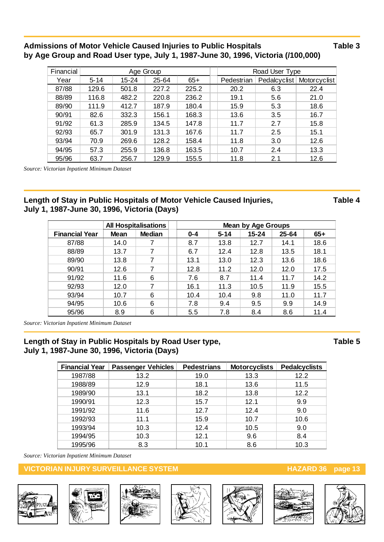#### Admissions of Motor Vehicle Caused Injuries to Public Hospitals **Table 3** Table 3 **by Age Group and Road User type, July 1, 1987-June 30, 1996, Victoria (/100,000)**

| Financial | Age Group |       |           |       |  |            | Road User Type |              |
|-----------|-----------|-------|-----------|-------|--|------------|----------------|--------------|
| Year      | $5 - 14$  | 15-24 | $25 - 64$ | $65+$ |  | Pedestrian | Pedalcyclist   | Motorcyclist |
| 87/88     | 129.6     | 501.8 | 227.2     | 225.2 |  | 20.2       | 6.3            | 22.4         |
| 88/89     | 116.8     | 482.2 | 220.8     | 236.2 |  | 19.1       | 5.6            | 21.0         |
| 89/90     | 111.9     | 412.7 | 187.9     | 180.4 |  | 15.9       | 5.3            | 18.6         |
| 90/91     | 82.6      | 332.3 | 156.1     | 168.3 |  | 13.6       | 3.5            | 16.7         |
| 91/92     | 61.3      | 285.9 | 134.5     | 147.8 |  | 11.7       | 2.7            | 15.8         |
| 92/93     | 65.7      | 301.9 | 131.3     | 167.6 |  | 11.7       | 2.5            | 15.1         |
| 93/94     | 70.9      | 269.6 | 128.2     | 158.4 |  | 11.8       | 3.0            | 12.6         |
| 94/95     | 57.3      | 255.9 | 136.8     | 163.5 |  | 10.7       | 2.4            | 13.3         |
| 95/96     | 63.7      | 256.7 | 129.9     | 155.5 |  | 11.8       | 2.1            | 12.6         |

*Source: Victorian Inpatient Minimum Dataset*

#### Length of Stay in Public Hospitals of Motor Vehicle Caused Injuries, Table 4 **July 1, 1987-June 30, 1996, Victoria (Days)**

**g y p , y , , , ( y)** All Hospitalisations **Mean by Age Groups Financial Year Mean Median 0-4 5-14 15-24 25-64 65+** 87/88 | 14.0 | 7 | 8.7 | 13.8 | 12.7 | 14.1 | 18.6 88/89 | 13.7 | 7 | | 6.7 | 12.4 | 12.8 | 13.5 | 18.1 89/90 | 13.8 | 7 | 13.1 | 13.0 | 12.3 | 13.6 | 18.6 90/91 12.6 7 12.8 11.2 12.0 12.0 17.5 91/92 | 11.6 | 6 | | 7.6 | 8.7 | 11.4 | 11.7 | 14.2 92/93 | 12.0 | 7 | 16.1 | 11.3 | 10.5 | 11.9 | 15.5 93/94 | 10.7 | 6 | 10.4 | 10.4 | 9.8 | 11.0 | 11.7 94/95 | 10.6 | 6 | | 7.8 | 9.4 | 9.5 | 9.9 | 14.9 95/96 | 8.9 | 6 | | 5.5 | 7.8 | 8.4 | 8.6 | 11.4

*Source: Victorian Inpatient Minimum Dataset*

#### Length of Stay in Public Hospitals by Road User type, Table 5 **July 1, 1987-June 30, 1996, Victoria (Days) y , , , ( y)**

| <b>Financial Year</b> | <b>Passenger Vehicles</b> | <b>Pedestrians</b> | <b>Motorcyclists</b> | <b>Pedalcyclists</b> |
|-----------------------|---------------------------|--------------------|----------------------|----------------------|
| 1987/88               | 13.2                      | 19.0               | 13.3                 | 12.2                 |
| 1988/89               | 12.9                      | 18.1               | 13.6                 | 11.5                 |
| 1989/90               | 13.1                      | 18.2               | 13.8                 | 12.2                 |
| 1990/91               | 12.3                      | 15.7               | 12.1                 | 9.9                  |
| 1991/92               | 11.6                      | 12.7               | 12.4                 | 9.0                  |
| 1992/93               | 11.1                      | 15.9               | 10.7                 | 10.6                 |
| 1993/94               | 10.3                      | 12.4               | 10.5                 | 9.0                  |
| 1994/95               | 10.3                      | 12.1               | 9.6                  | 8.4                  |
| 1995/96               | 8.3                       | 10.1               | 8.6                  | 10.3                 |

*Source: Victorian Inpatient Minimum Dataset*

#### **VICTORIAN INJURY SURVEILLANCE SYSTEM AND REALLY CONSUMING THE REAL PROPERTY OF STATE STATES AND REAL PROPERTY**













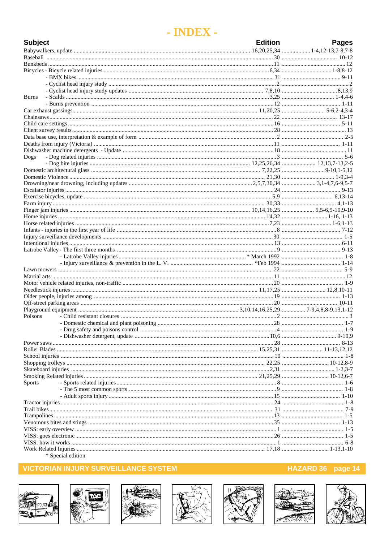## - INDEX -

| <b>Subject</b> | <b>Edition</b> | <b>Pages</b> |
|----------------|----------------|--------------|
|                |                |              |
|                |                |              |
|                |                |              |
|                |                |              |
|                |                |              |
|                |                |              |
|                |                |              |
| <b>Burns</b>   |                |              |
|                |                |              |
|                |                |              |
|                |                |              |
|                |                |              |
|                |                |              |
|                |                |              |
|                |                |              |
| Dogs           |                |              |
|                |                |              |
|                |                |              |
|                |                |              |
|                |                |              |
|                |                |              |
|                |                |              |
|                |                |              |
|                |                |              |
|                |                |              |
|                |                |              |
|                |                |              |
|                |                |              |
|                |                |              |
|                |                |              |
|                |                |              |
|                |                |              |
|                |                |              |
|                |                |              |
|                |                |              |
|                |                |              |
| Poisons        |                |              |
|                |                |              |
|                |                |              |
|                |                |              |
|                |                |              |
|                |                |              |
|                |                |              |
|                |                |              |
|                |                |              |
|                |                |              |
| <b>Sports</b>  |                |              |
|                |                |              |
|                |                |              |
|                |                |              |
|                |                |              |
|                |                |              |
|                |                |              |
|                |                |              |
|                |                |              |
|                |                |              |

\* Special edition

### **VICTORIAN INJURY SURVEILLANCE SYSTEM**















#### HAZARD 36 page 14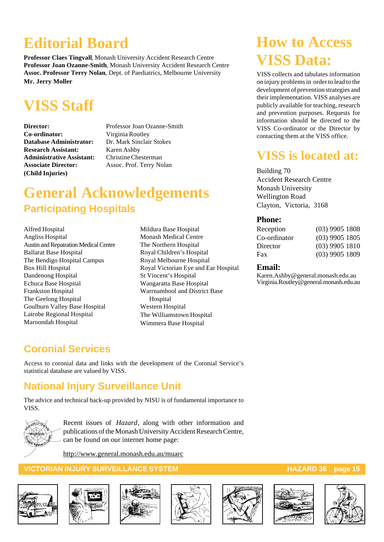# **Editorial Board**

**Professor Claes Tingvall**, Monash University Accident Research Centre **Professor Joan Ozanne-Smith**, Monash University Accident Research Centre **Assoc. Professor Terry Nolan**, Dept. of Paediatrics, Melbourne University **Mr. Jerry Moller**

# **VISS Staff**

**Co-ordinator:** Virginia Routley **Database Administrator:** Dr. Mark Sinclair Stokes **Research Assistant:** Karen Ashby **Administrative Assistant:** Christine Chesterman **Associate Director:** Assoc. Prof. Terry Nolan **(Child Injuries)**

**Director:** Professor Joan Ozanne-Smith

# **General Acknowledgements Participating Hospitals**

Alfred Hospital Angliss Hospital Austin and Repatration Medical Centre Ballarat Base Hospital The Bendigo Hospital Campus Box Hill Hospital Dandenong Hospital Echuca Base Hospital Frankston Hospital The Geelong Hospital Goulburn Valley Base Hospital Latrobe Regional Hospital Maroondah Hospital

Mildura Base Hospital Monash Medical Centre The Northern Hospital Royal Children's Hospital Royal Melbourne Hospital Royal Victorian Eye and Ear Hospital St Vincent's Hospital Wangaratta Base Hospital Warrnambool and District Base Hospital Western Hospital The Williamstown Hospital Wimmera Base Hospital

# **How to Access VISS Data:**

VISS collects and tabulates information on injury problems in order to lead to the development of prevention strategies and their implementation. VISS analyses are publicly available for teaching, research and prevention purposes. Requests for information should be directed to the VISS Co-ordinator or the Director by contacting them at the VISS office.

## **VISS is located at:**

Building 70 Accident Research Centre Monash University Wellington Road Clayton, Victoria, 3168

#### **Phone:**

| $(03)$ 9905 1808 |
|------------------|
| $(03)$ 9905 1805 |
| $(03)$ 9905 1810 |
| $(03)$ 9905 1809 |
|                  |

#### **Email:**

Karen.Ashby@general.monash.edu.au Virginia.Routley@general.monash.edu.au

## **Coronial Services**

Access to coronial data and links with the development of the Coronial Service's statistical database are valued by VISS.

## **National Injury Surveillance Unit**

The advice and technical back-up provided by NISU is of fundamental importance to VISS.



Recent issues of *Hazard*, along with other information and publications of the Monash University Accident Research Centre, can be found on our internet home page:

http://www.general.monash.edu.au/muarc